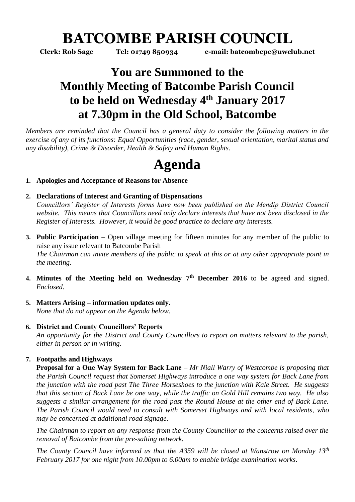# **BATCOMBE PARISH COUNCIL**

**Clerk: Rob Sage Tel: 01749 850934 e-mail: batcombepc@uwclub.net**

# **You are Summoned to the Monthly Meeting of Batcombe Parish Council to be held on Wednesday 4 th January 2017 at 7.30pm in the Old School, Batcombe**

*Members are reminded that the Council has a general duty to consider the following matters in the exercise of any of its functions: Equal Opportunities (race, gender, sexual orientation, marital status and any disability), Crime & Disorder, Health & Safety and Human Rights.* 

# **Agenda**

# **1. Apologies and Acceptance of Reasons for Absence**

# **2. Declarations of Interest and Granting of Dispensations**

*Councillors' Register of Interests forms have now been published on the Mendip District Council website. This means that Councillors need only declare interests that have not been disclosed in the Register of Interests. However, it would be good practice to declare any interests.*

- **3. Public Participation –** Open village meeting for fifteen minutes for any member of the public to raise any issue relevant to Batcombe Parish *The Chairman can invite members of the public to speak at this or at any other appropriate point in the meeting.*
- **4. Minutes of the Meeting held on Wednesday 7 th December 2016** to be agreed and signed. *Enclosed.*
- **5. Matters Arising – information updates only.**  *None that do not appear on the Agenda below.*

### **6. District and County Councillors' Reports**

*An opportunity for the District and County Councillors to report on matters relevant to the parish, either in person or in writing.* 

# **7. Footpaths and Highways**

**Proposal for a One Way System for Back Lane** *– Mr Niall Warry of Westcombe is proposing that the Parish Council request that Somerset Highways introduce a one way system for Back Lane from the junction with the road past The Three Horseshoes to the junction with Kale Street. He suggests that this section of Back Lane be one way, while the traffic on Gold Hill remains two way. He also suggests a similar arrangement for the road past the Round House at the other end of Back Lane. The Parish Council would need to consult with Somerset Highways and with local residents, who may be concerned at additional road signage.*

*The Chairman to report on any response from the County Councillor to the concerns raised over the removal of Batcombe from the pre-salting network.* 

*The County Council have informed us that the A359 will be closed at Wanstrow on Monday 13th February 2017 for one night from 10.00pm to 6.00am to enable bridge examination works.*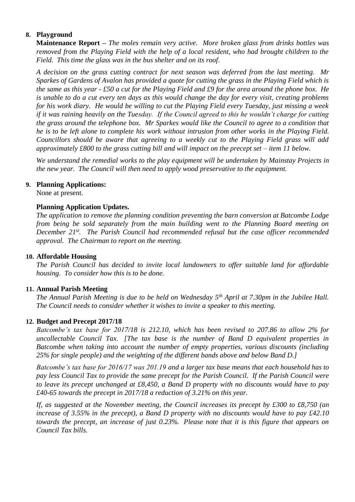# **8. Playground**

**Maintenance Report –** *The moles remain very active. More broken glass from drinks bottles was removed from the Playing Field with the help of a local resident, who had brought children to the Field. This time the glass was in the bus shelter and on its roof.*

*A decision on the grass cutting contract for next season was deferred from the last meeting. Mr Sparkes of Gardens of Avalon has provided a quote for cutting the grass in the Playing Field which is the same as this year - £50 a cut for the Playing Field and £9 for the area around the phone box. He is unable to do a cut every ten days as this would change the day for every visit, creating problems for his work diary. He would be willing to cut the Playing Field every Tuesday, just missing a week if it was raining heavily on the Tuesday. If the Council agreed to this he wouldn't charge for cutting the grass around the telephone box. Mr Sparkes would like the Council to agree to a condition that he is to be left alone to complete his work without intrusion from other works in the Playing Field. Councillors should be aware that agreeing to a weekly cut to the Playing Field grass will add approximately £800 to the grass cutting bill and will impact on the precept set – item 11 below.* 

*We understand the remedial works to the play equipment will be undertaken by Mainstay Projects in the new year. The Council will then need to apply wood preservative to the equipment.* 

#### **9. Planning Applications:**

None at present.

#### **Planning Application Updates.**

*The application to remove the planning condition preventing the barn conversion at Batcombe Lodge from being be sold separately from the main building went to the Planning Board meeting on December 21st. The Parish Council had recommended refusal but the case officer recommended approval. The Chairman to report on the meeting.* 

#### **10. Affordable Housing**

*The Parish Council has decided to invite local landowners to offer suitable land for affordable housing. To consider how this is to be done.* 

#### **11. Annual Parish Meeting**

*The Annual Parish Meeting is due to be held on Wednesday 5th April at 7.30pm in the Jubilee Hall. The Council needs to consider whether it wishes to invite a speaker to this meeting.* 

#### **12. Budget and Precept 2017/18**

*Batcombe's tax base for 2017/18 is 212.10, which has been revised to 207.86 to allow 2% for uncollectable Council Tax. [The tax base is the number of Band D equivalent properties in Batcombe when taking into account the number of empty properties, various discounts (including 25% for single people) and the weighting of the different bands above and below Band D.]*

*Batcombe's tax base for 2016/17 was 201.19 and a larger tax base means that each household has to pay less Council Tax to provide the same precept for the Parish Council. If the Parish Council were to leave its precept unchanged at £8,450, a Band D property with no discounts would have to pay £40-65 towards the precept in 2017/18 a reduction of 3.21% on this year.*

*If, as suggested at the November meeting, the Council increases its precept by £300 to £8,750 (an increase of 3.55% in the precept), a Band D property with no discounts would have to pay £42.10 towards the precept, an increase of just 0.23%. Please note that it is this figure that appears on Council Tax bills.*